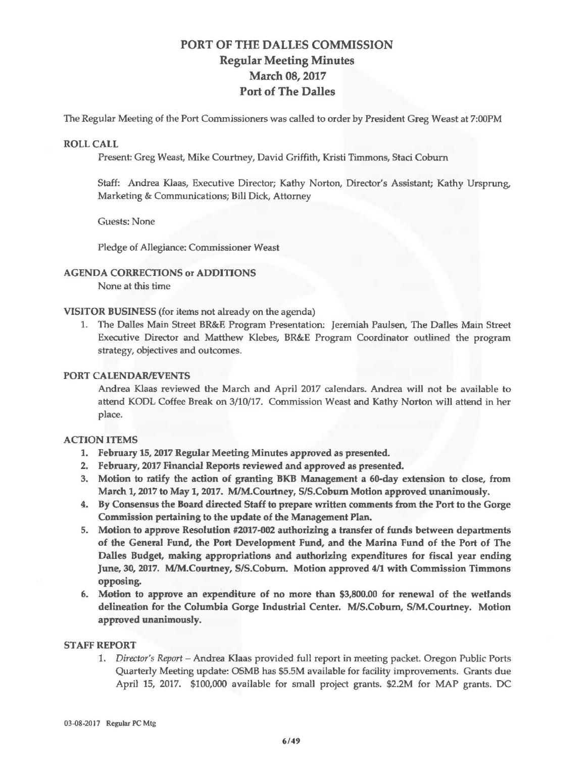# **PORT OF THE DALLES COMMISSION Regular Meeting Minutes March 08, 2017 Port of The Dalles**

The Regular Meeting of the Port Commissioners was called to order by President Greg Weast at 7:00PM

## **ROLL CALL**

Present: Greg Weast, Mike Courtney, David Griffith, Kristi Timmons, Staci Coburn

Staff: Andrea Klaas, Executive Director; Kathy Norton, Director's Assistant; Kathy Ursprung, Marketing & Communications; Bill Dick, Attorney

Guests: None

Pledge of Allegiance: Commissioner Weast

# **AGENDA CORRECTIONS or ADDITIONS**

None at this time

**VISITOR BUSINESS** (for items not already on the agenda)

1. The Dalles Main Street BR&E Program Presentation: Jeremiah Paulsen, The Dalles Mam Street Executive Director and Matthew Klebes, BR&E Program Coordinator outlined the program strategy, objectives and outcomes.

## **PORT CALENDAR/EVENTS**

Andrea Klaas reviewed the March and April 2017 calendars. Andrea will not be available to attend KOOL Coffee Break on 3/10/17. Commission Weast and Kathy Norton will attend in her place.

### **ACTION ITEMS**

- 1. **February 15, 2017 Regular Meeting Minutes approved as presented.**
- 2, **February,** 2017 **Financial Reports reviewed and approved as presented.**
- 3. Motion to ratify the action of granting BKB Management a 60-day extension to close, from **March 1, 2017 to May 1, 2017. WM.Courtney, SIS.Coburn Motion approved unanimously.**
- **4. By Consensus the Board directed Staff to prepare written comments from the Port to the Gorge Commission pertaining to the update of the Management Plan.**
- 5. **Motion to approve Resolution #2017-002 authorizing a transfer of funds between departments of the General Fund, the Port Development Fund, and the Marina Fund** of **the Port of The Dalles Budget, making appropriations and authorizing expenditures for fiscal year ending June, 30, 2017. M/M.Cowtney, SIS.Coburn. Motion approved 4/1 with Commission Timmons opposing.**
- **6. Motion to approve an expenditure of no more than \$3,800.00 for renewal of the wetlands delineation for the Columbia Gorge Industrial Center. MIS.Coburn, SIM.Courtney. Motion approved unanimously.**

### **STAFF REPORT**

1. *Director's Report* -Andrea **Klaas** provided full report in meeting packet. Oregon Public Ports Quarterly Meeting update: OSMB has \$5.5M available for facility improvements. Grants due April 15, 2017. \$100,000 available for small project grants. \$2.2M for MAP grants. DC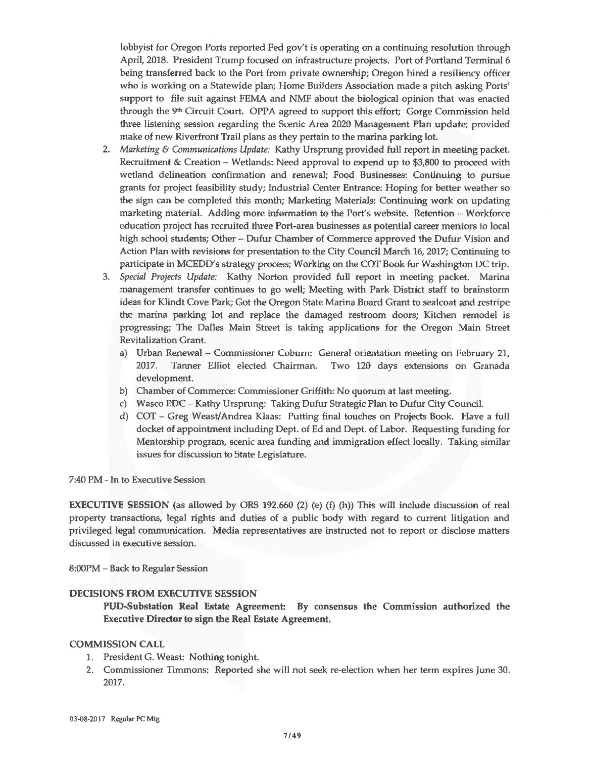lobbyist for Oregon Ports reported Fed gov't is operating on a continuing resolution through April, 2018. President Trump focused on infrastructure projects. Port of Portland Terminal 6 being transferred back to the Port from private ownership; Oregon hired a resiliency officer who is working on a Statewide plan; Home Builders Association made a pitch asking Ports' support to file suit against FEMA and NMF about the biological opinion that was enacted through the 9<sup>th</sup> Circuit Court. OPPA agreed to support this effort; Gorge Commission held three listening session regarding the Scenic Area 2020 Management Plan update; provided make of new Riverfront Trail plans as they pertain to the marina parking lot.

- 2. Marketing & Communications Update: Kathy Ursprung provided full report in meeting packet. Recruitment & Creation  $-$  Wetlands: Need approval to expend up to \$3,800 to proceed with wetland delineation confirmation and renewal; Food Businesses: Continuing to pursue grants for project feasibility study; Industrial Center Entrance : Hoping for better weather so the sign can be completed this month; Marketing Materials: Continuing work on updating marketing material. Adding more information to the Port's website. Retention - Workforce education project has recruited three Port-area businesses as potential career mentors to local high school students; Other - Dufur Chamber of Commerce approved the Dufur Vision and Action Plan with revisions for presentation to the City Council March 16, 2017; Continuing to participate in MCEDD's strategy process; Working on the COT Book for Washington DC trip.
- 3. *Special Projects Update:* Kathy Norton provided full report in meeting packet. Marina management transfer continues to go well; Meeting with Park District staff to brainstorm ideas for Klindt Cove Park; Got the Oregon State Marina Board Grant to sealcoat and restripe the marina parking lot and replace the damaged restroom doors; Kitchen remodel is progressing; The Dalles Main Street is taking applications for the Oregon Main Street Revitalization Grant.
	- a) Urban Renewal- Commissioner Coburn: General orientation meeting on February 21, 2017. Tanner Elliot elected Chairman. Two 120 days extensions on Granada development.
	- b) Chamber of Commerce: Commissioner Griffith: No quorum at last meeting.
	- c) Wasco EDC- Kathy Ursprung: Taking Dufur Strategic Plan to Dufur City Council.
	- d) COT Greg Weast/Andrea Klaas: Putting final touches on Projects Book. Have a full docket of appointment including Dept . of Ed and Dept. of Labor. Requesting funding for Mentorship program, scenic area funding and immigration effect ]ocally. Taking similar issues for discussion to State Legislature.

### 7:40 PM - In to Executive Session

**EXECUTIVE SESSION** (as allowed by ORS 192.660 (2) (e) (f) (h)) This will include discussion of real property transactions, legal rights and duties of a public body with regard to current litigation and privileged legal communication. Media representatives are instructed not to report or disclose matters discussed in executive session.

8:00PM - Back to Regular Session

### **DECISIONS FROM EXECUTIVE SESSION**

**POD-Substation Real Estate Agreement By consensus the Commission authorized the Executive Director to sign the Real Estate Agreement.** 

### **COMMISSION CALL**

- 1. President G. Weast: Nothing tonight.
- 2. Commissioner Timmons: Reported she will not seek re-election when her term expires June 30. 2017.